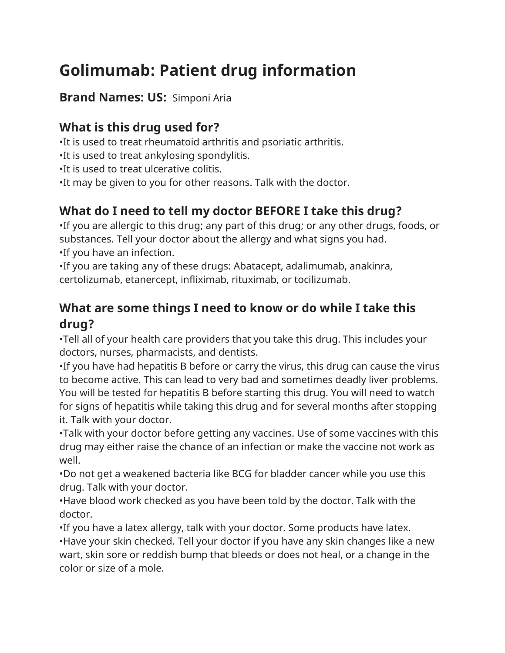# **Golimumab: Patient drug information**

#### **Brand Names: US:** Simponi Aria

## **What is this drug used for?**

•It is used to treat rheumatoid arthritis and psoriatic arthritis.

•It is used to treat ankylosing spondylitis.

•It is used to treat ulcerative colitis.

•It may be given to you for other reasons. Talk with the doctor.

# **What do I need to tell my doctor BEFORE I take this drug?**

•If you are allergic to this drug; any part of this drug; or any other drugs, foods, or substances. Tell your doctor about the allergy and what signs you had. •If you have an infection.

•If you are taking any of these drugs: Abatacept, adalimumab, anakinra, certolizumab, etanercept, infliximab, rituximab, or tocilizumab.

#### **What are some things I need to know or do while I take this drug?**

•Tell all of your health care providers that you take this drug. This includes your doctors, nurses, pharmacists, and dentists.

•If you have had hepatitis B before or carry the virus, this drug can cause the virus to become active. This can lead to very bad and sometimes deadly liver problems. You will be tested for hepatitis B before starting this drug. You will need to watch for signs of hepatitis while taking this drug and for several months after stopping it. Talk with your doctor.

•Talk with your doctor before getting any vaccines. Use of some vaccines with this drug may either raise the chance of an infection or make the vaccine not work as well.

•Do not get a weakened bacteria like BCG for bladder cancer while you use this drug. Talk with your doctor.

•Have blood work checked as you have been told by the doctor. Talk with the doctor.

•If you have a latex allergy, talk with your doctor. Some products have latex.

•Have your skin checked. Tell your doctor if you have any skin changes like a new wart, skin sore or reddish bump that bleeds or does not heal, or a change in the color or size of a mole.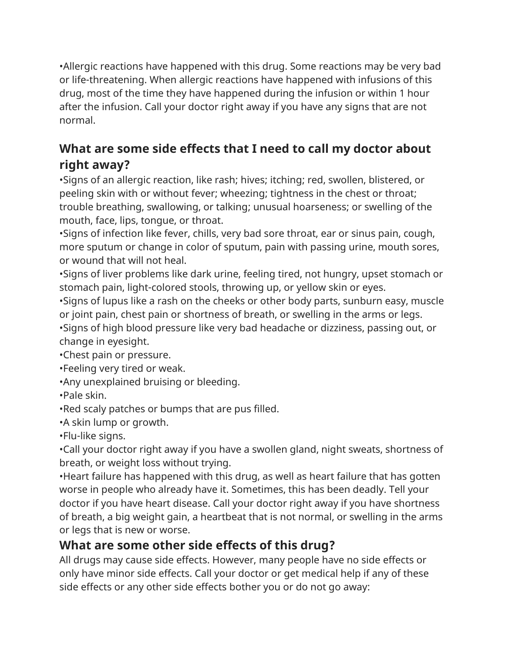•Allergic reactions have happened with this drug. Some reactions may be very bad or life-threatening. When allergic reactions have happened with infusions of this drug, most of the time they have happened during the infusion or within 1 hour after the infusion. Call your doctor right away if you have any signs that are not normal.

### **What are some side effects that I need to call my doctor about right away?**

•Signs of an allergic reaction, like rash; hives; itching; red, swollen, blistered, or peeling skin with or without fever; wheezing; tightness in the chest or throat; trouble breathing, swallowing, or talking; unusual hoarseness; or swelling of the mouth, face, lips, tongue, or throat.

•Signs of infection like fever, chills, very bad sore throat, ear or sinus pain, cough, more sputum or change in color of sputum, pain with passing urine, mouth sores, or wound that will not heal.

•Signs of liver problems like dark urine, feeling tired, not hungry, upset stomach or stomach pain, light-colored stools, throwing up, or yellow skin or eyes.

•Signs of lupus like a rash on the cheeks or other body parts, sunburn easy, muscle or joint pain, chest pain or shortness of breath, or swelling in the arms or legs. •Signs of high blood pressure like very bad headache or dizziness, passing out, or

change in eyesight.

•Chest pain or pressure.

•Feeling very tired or weak.

•Any unexplained bruising or bleeding.

•Pale skin.

•Red scaly patches or bumps that are pus filled.

•A skin lump or growth.

•Flu-like signs.

•Call your doctor right away if you have a swollen gland, night sweats, shortness of breath, or weight loss without trying.

•Heart failure has happened with this drug, as well as heart failure that has gotten worse in people who already have it. Sometimes, this has been deadly. Tell your doctor if you have heart disease. Call your doctor right away if you have shortness of breath, a big weight gain, a heartbeat that is not normal, or swelling in the arms or legs that is new or worse.

# **What are some other side effects of this drug?**

All drugs may cause side effects. However, many people have no side effects or only have minor side effects. Call your doctor or get medical help if any of these side effects or any other side effects bother you or do not go away: